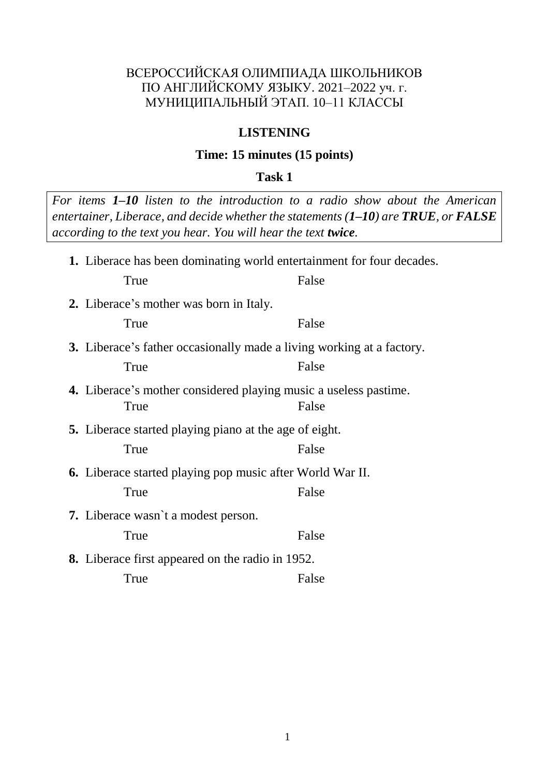#### ВСЕРОССИЙСКАЯ ОЛИМПИАДА ШКОЛЬНИКОВ ПО АНГЛИЙСКОМУ ЯЗЫКУ. 2021–2022 уч. г. МУНИЦИПАЛЬНЫЙ ЭТАП. 10–11 КЛАССЫ

#### **LISTENING**

#### **Time: 15 minutes (15 points)**

#### **Task 1**

*For items 1–10 listen to the introduction to a radio show about the American entertainer, Liberace, and decide whether the statements (1–10) are TRUE, or FALSE according to the text you hear. You will hear the text twice.* **1.** Liberace has been dominating world entertainment for four decades. True **False 2.** Liberace's mother was born in Italy. True False **3.** Liberace's father occasionally made a living working at a factory. True False **4.** Liberace's mother considered playing music a useless pastime. True False **5.** Liberace started playing piano at the age of eight. True False **6.** Liberace started playing pop music after World War II. True False **7.** Liberace wasn`t a modest person. True False **8.** Liberace first appeared on the radio in 1952. True False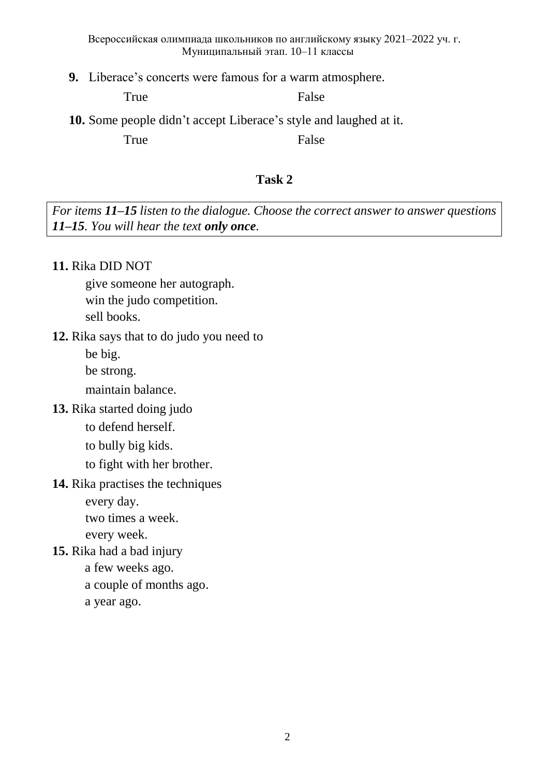Всероссийская олимпиада школьников по английскому языку 2021–2022 уч. г. Муниципальный этап. 10–11 классы

**9.** Liberace's concerts were famous for a warm atmosphere.

True False

**10.** Some people didn't accept Liberace's style and laughed at it.

True False

#### **Task 2**

*For items 11–15 listen to the dialogue. Choose the correct answer to answer questions 11–15. You will hear the text only once.*

#### **11.** Rika DID NOT

give someone her autograph. win the judo competition. sell books.

**12.** Rika says that to do judo you need to

be big.

be strong.

maintain balance.

**13.** Rika started doing judo

to defend herself.

to bully big kids.

to fight with her brother.

**14.** Rika practises the techniques

every day.

two times a week.

every week.

**15.** Rika had a bad injury

a few weeks ago. a couple of months ago. a year ago.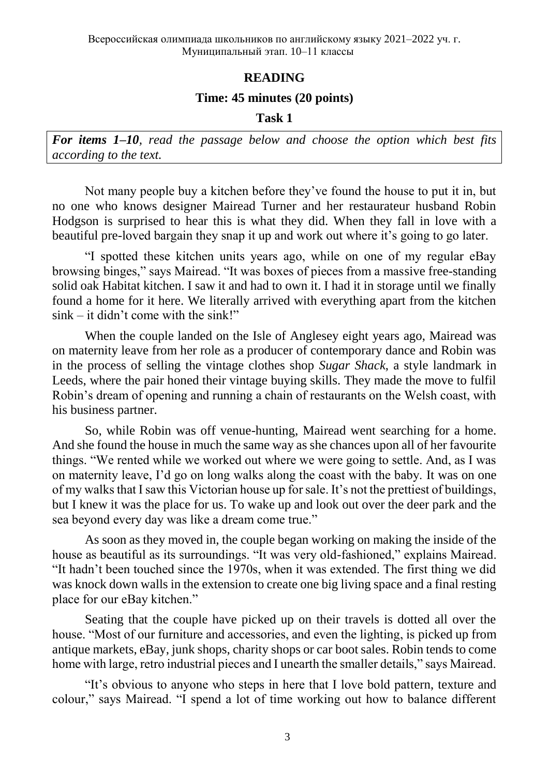#### **READING**

#### **Time: 45 minutes (20 points)**

#### **Task 1**

*For items 1–10, read the passage below and choose the option which best fits according to the text.* 

Not many people buy a kitchen before they've found the house to put it in, but no one who knows designer Mairead Turner and her restaurateur husband Robin Hodgson is surprised to hear this is what they did. When they fall in love with a beautiful pre-loved bargain they snap it up and work out where it's going to go later.

"I spotted these kitchen units years ago, while on one of my regular eBay browsing binges," says Mairead. "It was boxes of pieces from a massive free-standing solid oak Habitat kitchen. I saw it and had to own it. I had it in storage until we finally found a home for it here. We literally arrived with everything apart from the kitchen sink – it didn't come with the sink!"

When the couple landed on the Isle of Anglesey eight years ago, Mairead was on maternity leave from her role as a producer of contemporary dance and Robin was in the process of selling the vintage clothes shop *Sugar Shack*, a style landmark in Leeds, where the pair honed their vintage buying skills. They made the move to fulfil Robin's dream of opening and running a chain of restaurants on the Welsh coast, with his business partner.

So, while Robin was off venue-hunting, Mairead went searching for a home. And she found the house in much the same way as she chances upon all of her favourite things. "We rented while we worked out where we were going to settle. And, as I was on maternity leave, I'd go on long walks along the coast with the baby. It was on one of my walks that I saw this Victorian house up for sale. It's not the prettiest of buildings, but I knew it was the place for us. To wake up and look out over the deer park and the sea beyond every day was like a dream come true."

As soon as they moved in, the couple began working on making the inside of the house as beautiful as its surroundings. "It was very old-fashioned," explains Mairead. "It hadn't been touched since the 1970s, when it was extended. The first thing we did was knock down walls in the extension to create one big living space and a final resting place for our eBay kitchen."

Seating that the couple have picked up on their travels is dotted all over the house. "Most of our furniture and accessories, and even the lighting, is picked up from antique markets, eBay, junk shops, charity shops or car boot sales. Robin tends to come home with large, retro industrial pieces and I unearth the smaller details," says Mairead.

"It's obvious to anyone who steps in here that I love bold pattern, texture and colour," says Mairead. "I spend a lot of time working out how to balance different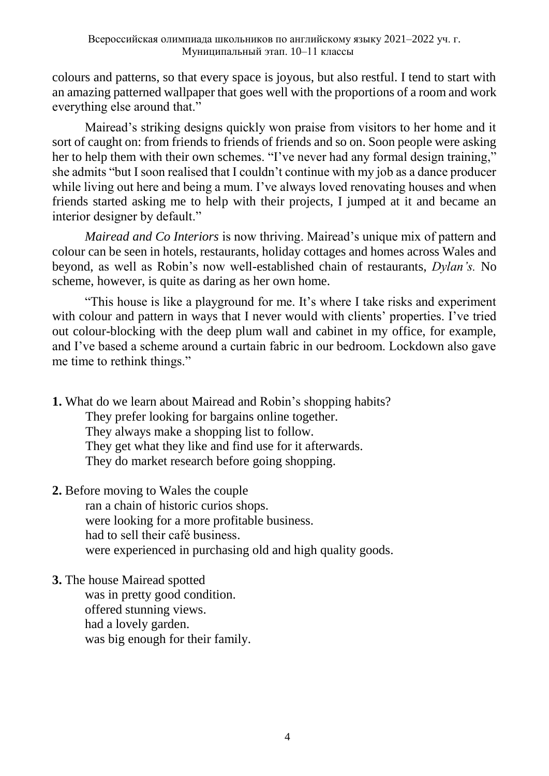colours and patterns, so that every space is joyous, but also restful. I tend to start with an amazing patterned wallpaper that goes well with the proportions of a room and work everything else around that."

Mairead's striking designs quickly won praise from visitors to her home and it sort of caught on: from friends to friends of friends and so on. Soon people were asking her to help them with their own schemes. "I've never had any formal design training," she admits "but I soon realised that I couldn't continue with my job as a dance producer while living out here and being a mum. I've always loved renovating houses and when friends started asking me to help with their projects, I jumped at it and became an interior designer by default."

*Mairead and Co Interiors* is now thriving. Mairead's unique mix of pattern and colour can be seen in hotels, restaurants, holiday cottages and homes across Wales and beyond, as well as Robin's now well-established chain of restaurants, *Dylan's.* No scheme, however, is quite as daring as her own home.

"This house is like a playground for me. It's where I take risks and experiment with colour and pattern in ways that I never would with clients' properties. I've tried out colour-blocking with the deep plum wall and cabinet in my office, for example, and I've based a scheme around a curtain fabric in our bedroom. Lockdown also gave me time to rethink things."

**1.** What do we learn about Mairead and Robin's shopping habits?

They prefer looking for bargains online together. They always make a shopping list to follow.

They get what they like and find use for it afterwards.

They do market research before going shopping.

**2.** Before moving to Wales the couple

ran a chain of historic curios shops. were looking for a more profitable business. had to sell their café business. were experienced in purchasing old and high quality goods.

# **3.** The house Mairead spotted

was in pretty good condition. offered stunning views. had a lovely garden. was big enough for their family.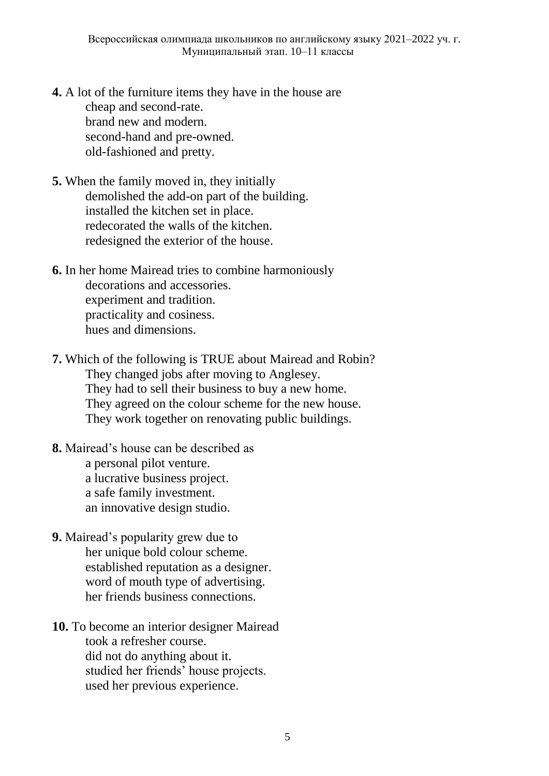- **4.** A lot of the furniture items they have in the house are cheap and second-rate. brand new and modern. second-hand and pre-owned. old-fashioned and pretty.
- **5.** When the family moved in, they initially demolished the add-on part of the building. installed the kitchen set in place. redecorated the walls of the kitchen. redesigned the exterior of the house.
- **6.** In her home Mairead tries to combine harmoniously decorations and accessories. experiment and tradition. practicality and cosiness. hues and dimensions.
- **7.** Which of the following is TRUE about Mairead and Robin? They changed jobs after moving to Anglesey. They had to sell their business to buy a new home. They agreed on the colour scheme for the new house. They work together on renovating public buildings.
- **8.** Mairead's house can be described as a personal pilot venture. a lucrative business project. a safe family investment. an innovative design studio.
- **9.** Mairead's popularity grew due to her unique bold colour scheme. established reputation as a designer. word of mouth type of advertising. her friends business connections.
- **10.** To become an interior designer Mairead took a refresher course. did not do anything about it. studied her friends' house projects. used her previous experience.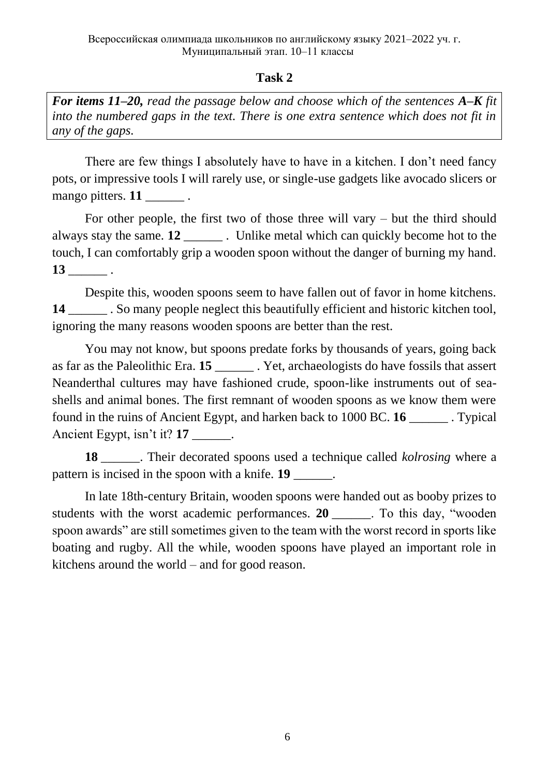#### **Task 2**

*For items 11–20, read the passage below and choose which of the sentences A–K fit into the numbered gaps in the text. There is one extra sentence which does not fit in any of the gaps.*

There are few things I absolutely have to have in a kitchen. I don't need fancy pots, or impressive tools I will rarely use, or single-use gadgets like avocado slicers or mango pitters. **11** .

For other people, the first two of those three will vary – but the third should always stay the same. **12** \_\_\_\_\_\_ . Unlike metal which can quickly become hot to the touch, I can comfortably grip a wooden spoon without the danger of burning my hand. **13** \_\_\_\_\_\_ .

Despite this, wooden spoons seem to have fallen out of favor in home kitchens. **14** \_\_\_\_\_\_ . So many people neglect this beautifully efficient and historic kitchen tool, ignoring the many reasons wooden spoons are better than the rest.

You may not know, but spoons predate forks by thousands of years, going back as far as the Paleolithic Era. **15** \_\_\_\_\_\_ . Yet, archaeologists do have fossils that assert Neanderthal cultures may have fashioned crude, spoon-like instruments out of seashells and animal bones. The first remnant of wooden spoons as we know them were found in the ruins of Ancient Egypt, and harken back to 1000 BC. **16** \_\_\_\_\_\_ . Typical Ancient Egypt, isn't it? **17** \_\_\_\_\_\_.

**18** \_\_\_\_\_\_. Their decorated spoons used a technique called *kolrosing* where a pattern is incised in the spoon with a knife. **19** \_\_\_\_\_\_.

In late 18th-century Britain, wooden spoons were handed out as booby prizes to students with the worst academic performances. 20 \_\_\_\_\_. To this day, "wooden" spoon awards" are still sometimes given to the team with the worst record in sports like boating and rugby. All the while, wooden spoons have played an important role in kitchens around the world – and for good reason.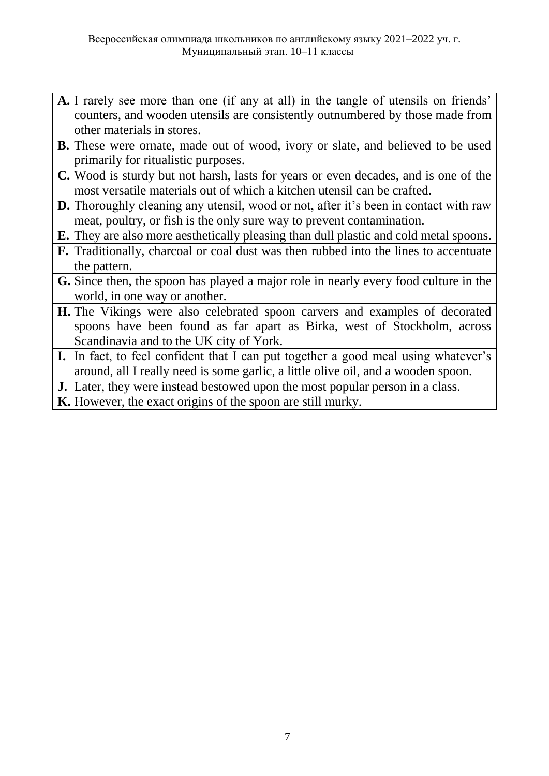- **A.** I rarely see more than one (if any at all) in the tangle of utensils on friends' counters, and wooden utensils are consistently outnumbered by those made from other materials in stores.
- **B.** These were ornate, made out of wood, ivory or slate, and believed to be used primarily for ritualistic purposes.
- **C.** Wood is sturdy but not harsh, lasts for years or even decades, and is one of the most versatile materials out of which a kitchen utensil can be crafted.
- **D.** Thoroughly cleaning any utensil, wood or not, after it's been in contact with raw meat, poultry, or fish is the only sure way to prevent contamination.
- **E.** They are also more aesthetically pleasing than dull plastic and cold metal spoons.
- **F.** Traditionally, charcoal or coal dust was then rubbed into the lines to accentuate the pattern.
- **G.** Since then, the spoon has played a major role in nearly every food culture in the world, in one way or another.
- **H.** The Vikings were also celebrated spoon carvers and examples of decorated spoons have been found as far apart as Birka, west of Stockholm, across Scandinavia and to the UK city of York.
- **I.** In fact, to feel confident that I can put together a good meal using whatever's around, all I really need is some garlic, a little olive oil, and a wooden spoon.
- **J.** Later, they were instead bestowed upon the most popular person in a class.
- **K.** However, the exact origins of the spoon are still murky.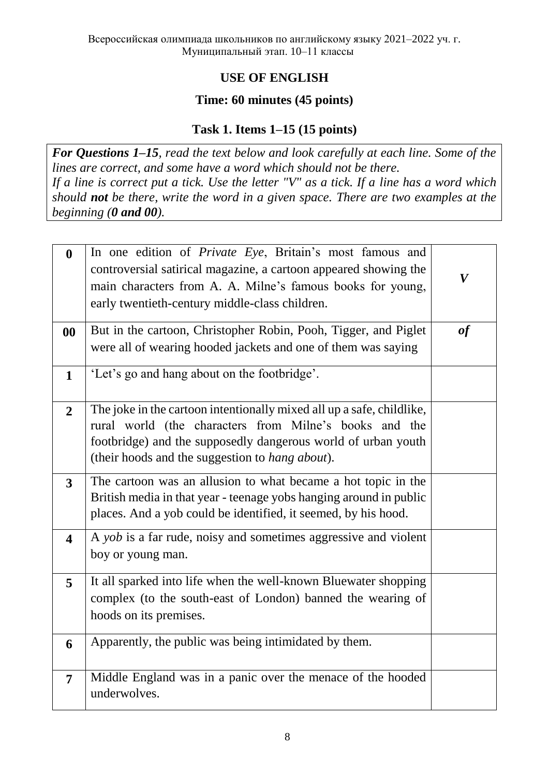# **USE OF ENGLISH**

## **Time: 60 minutes (45 points)**

# **Task 1. Items 1–15 (15 points)**

*For Questions 1–15, read the text below and look carefully at each line. Some of the lines are correct, and some have a word which should not be there. If a line is correct put a tick. Use the letter "V" as a tick. If a line has a word which should not be there, write the word in a given space. There are two examples at the beginning (0 and 00).* 

| $\boldsymbol{0}$        | In one edition of Private Eye, Britain's most famous and<br>controversial satirical magazine, a cartoon appeared showing the<br>main characters from A. A. Milne's famous books for young,<br>early twentieth-century middle-class children.                | V  |
|-------------------------|-------------------------------------------------------------------------------------------------------------------------------------------------------------------------------------------------------------------------------------------------------------|----|
| $\bf{00}$               | But in the cartoon, Christopher Robin, Pooh, Tigger, and Piglet<br>were all of wearing hooded jackets and one of them was saying                                                                                                                            | of |
| 1                       | 'Let's go and hang about on the footbridge'.                                                                                                                                                                                                                |    |
| $\overline{2}$          | The joke in the cartoon intentionally mixed all up a safe, childlike,<br>rural world (the characters from Milne's books and the<br>footbridge) and the supposedly dangerous world of urban youth<br>(their hoods and the suggestion to <i>hang about</i> ). |    |
| 3                       | The cartoon was an allusion to what became a hot topic in the<br>British media in that year - teenage yobs hanging around in public<br>places. And a yob could be identified, it seemed, by his hood.                                                       |    |
| $\overline{\mathbf{4}}$ | A yob is a far rude, noisy and sometimes aggressive and violent<br>boy or young man.                                                                                                                                                                        |    |
| 5                       | It all sparked into life when the well-known Bluewater shopping<br>complex (to the south-east of London) banned the wearing of<br>hoods on its premises.                                                                                                    |    |
| 6                       | Apparently, the public was being intimidated by them.                                                                                                                                                                                                       |    |
| $\overline{7}$          | Middle England was in a panic over the menace of the hooded<br>underwolves.                                                                                                                                                                                 |    |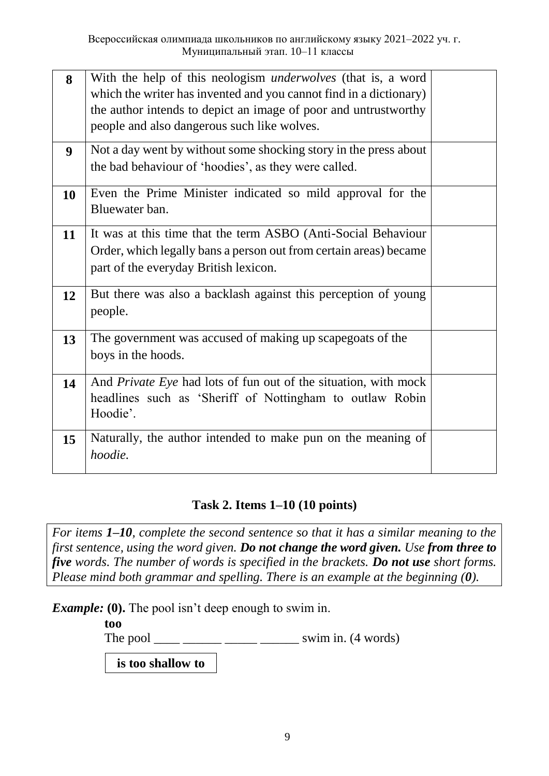| 8  | With the help of this neologism <i>underwolves</i> (that is, a word<br>which the writer has invented and you cannot find in a dictionary)<br>the author intends to depict an image of poor and untrustworthy<br>people and also dangerous such like wolves. |  |
|----|-------------------------------------------------------------------------------------------------------------------------------------------------------------------------------------------------------------------------------------------------------------|--|
| 9  | Not a day went by without some shocking story in the press about<br>the bad behaviour of 'hoodies', as they were called.                                                                                                                                    |  |
| 10 | Even the Prime Minister indicated so mild approval for the<br>Bluewater ban.                                                                                                                                                                                |  |
| 11 | It was at this time that the term ASBO (Anti-Social Behaviour<br>Order, which legally bans a person out from certain areas) became<br>part of the everyday British lexicon.                                                                                 |  |
| 12 | But there was also a backlash against this perception of young<br>people.                                                                                                                                                                                   |  |
| 13 | The government was accused of making up scapegoats of the<br>boys in the hoods.                                                                                                                                                                             |  |
| 14 | And <i>Private Eye</i> had lots of fun out of the situation, with mock<br>headlines such as 'Sheriff of Nottingham to outlaw Robin<br>Hoodie'.                                                                                                              |  |
| 15 | Naturally, the author intended to make pun on the meaning of<br>hoodie.                                                                                                                                                                                     |  |

# **Task 2. Items 1–10 (10 points)**

*For items 1–10, complete the second sentence so that it has a similar meaning to the first sentence, using the word given. Do not change the word given. Use from three to five words. The number of words is specified in the brackets. Do not use short forms. Please mind both grammar and spelling. There is an example at the beginning (0).* 

*Example:* (0). The pool isn't deep enough to swim in.

**too** 

The pool \_\_\_\_ \_\_\_\_\_\_ \_\_\_\_\_ \_\_\_\_\_\_ swim in. (4 words)

**is too shallow to**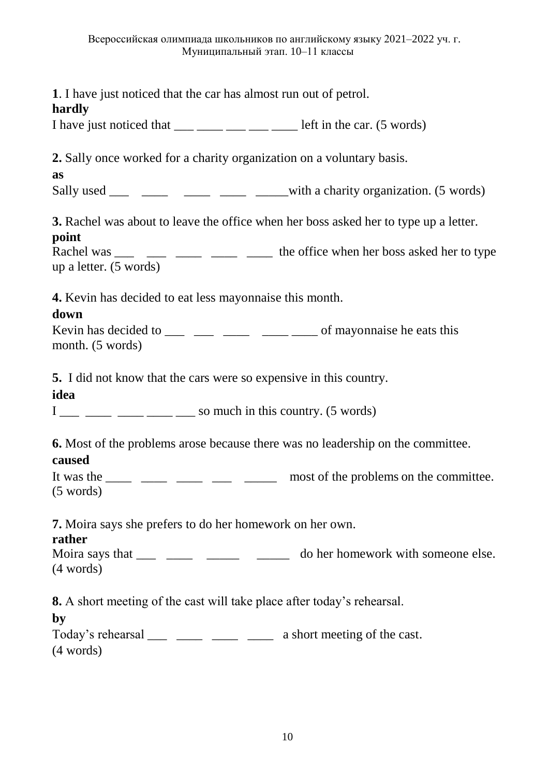| 1. I have just noticed that the car has almost run out of petrol.<br>hardly                                                                                                                                                                                                                                                                                                                                                                      |  |  |  |
|--------------------------------------------------------------------------------------------------------------------------------------------------------------------------------------------------------------------------------------------------------------------------------------------------------------------------------------------------------------------------------------------------------------------------------------------------|--|--|--|
| I have just noticed that ___ ___ __ __ __ left in the car. (5 words)                                                                                                                                                                                                                                                                                                                                                                             |  |  |  |
| 2. Sally once worked for a charity organization on a voluntary basis.<br>as                                                                                                                                                                                                                                                                                                                                                                      |  |  |  |
| <b>3.</b> Rachel was about to leave the office when her boss asked her to type up a letter.                                                                                                                                                                                                                                                                                                                                                      |  |  |  |
| point<br>Rachel was ____ ___ ___ ___ ___ __ the office when her boss asked her to type<br>up a letter. $(5 \text{ words})$                                                                                                                                                                                                                                                                                                                       |  |  |  |
| 4. Kevin has decided to eat less mayonnaise this month.<br>down                                                                                                                                                                                                                                                                                                                                                                                  |  |  |  |
| Kevin has decided to ____ ___ ____ ____ ___ ___ of mayonnaise he eats this<br>month. (5 words)                                                                                                                                                                                                                                                                                                                                                   |  |  |  |
| 5. I did not know that the cars were so expensive in this country.<br>idea                                                                                                                                                                                                                                                                                                                                                                       |  |  |  |
| $I_{\text{max}} = I_{\text{max}} = I_{\text{max}}$ so much in this country. (5 words)                                                                                                                                                                                                                                                                                                                                                            |  |  |  |
| <b>6.</b> Most of the problems arose because there was no leadership on the committee.<br>caused                                                                                                                                                                                                                                                                                                                                                 |  |  |  |
| It was the $\frac{1}{\sqrt{1-\frac{1}{\sqrt{1-\frac{1}{\sqrt{1-\frac{1}{\sqrt{1-\frac{1}{\sqrt{1-\frac{1}{\sqrt{1-\frac{1}{\sqrt{1-\frac{1}{\sqrt{1-\frac{1}{\sqrt{1-\frac{1}{\sqrt{1-\frac{1}{\sqrt{1-\frac{1}{\sqrt{1-\frac{1}{\sqrt{1-\frac{1}{\sqrt{1-\frac{1}{\sqrt{1-\frac{1}{\sqrt{1-\frac{1}{\sqrt{1-\frac{1}{\sqrt{1-\frac{1}{\sqrt{1-\frac{1}{\sqrt{1-\frac{1}{\sqrt{1-\frac{1}{\sqrt{1-\frac{1}{\sqrt{1-\frac$<br>$(5 \text{ words})$ |  |  |  |
| <b>7.</b> Moira says she prefers to do her homework on her own.<br>rather<br>Moira says that _____ ______ _______ do her homework with someone else.<br>(4 words)                                                                                                                                                                                                                                                                                |  |  |  |
| <b>8.</b> A short meeting of the cast will take place after today's rehearsal.<br>by                                                                                                                                                                                                                                                                                                                                                             |  |  |  |
| Today's rehearsal _____ _____ _____ ____ a short meeting of the cast.<br>(4 words)                                                                                                                                                                                                                                                                                                                                                               |  |  |  |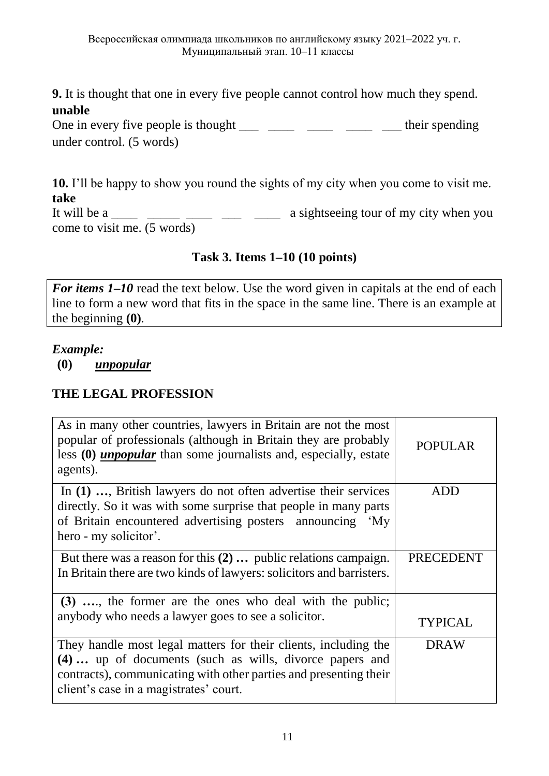**9.** It is thought that one in every five people cannot control how much they spend. **unable** 

One in every five people is thought their spending their spending under control. (5 words)

**10.** I'll be happy to show you round the sights of my city when you come to visit me. **take** 

It will be a \_\_\_\_ \_\_\_\_ \_\_\_ \_\_\_ \_\_\_ \_\_ a sightseeing tour of my city when you come to visit me. (5 words)

# **Task 3. Items 1–10 (10 points)**

*For items 1–10* read the text below. Use the word given in capitals at the end of each line to form a new word that fits in the space in the same line. There is an example at the beginning **(0)***.*

#### *Example:*

**(0)** *unpopular*

# **THE LEGAL PROFESSION**

| As in many other countries, lawyers in Britain are not the most<br>popular of professionals (although in Britain they are probably<br>less (0) <i>unpopular</i> than some journalists and, especially, estate<br>agents).                 | <b>POPULAR</b>   |
|-------------------------------------------------------------------------------------------------------------------------------------------------------------------------------------------------------------------------------------------|------------------|
| In $(1)$ , British lawyers do not often advertise their services<br>directly. So it was with some surprise that people in many parts<br>of Britain encountered advertising posters announcing 'My<br>hero - my solicitor'.                | ADD              |
| But there was a reason for this $(2)$ public relations campaign.<br>In Britain there are two kinds of lawyers: solicitors and barristers.                                                                                                 | <b>PRECEDENT</b> |
| (3) , the former are the ones who deal with the public;                                                                                                                                                                                   |                  |
| anybody who needs a lawyer goes to see a solicitor.                                                                                                                                                                                       | <b>TYPICAL</b>   |
| They handle most legal matters for their clients, including the<br>(4)  up of documents (such as wills, divorce papers and<br>contracts), communicating with other parties and presenting their<br>client's case in a magistrates' court. | <b>DRAW</b>      |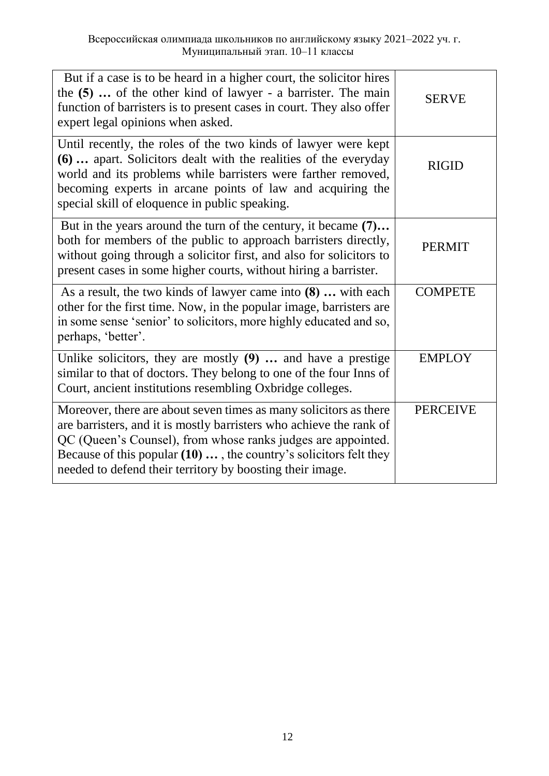| But if a case is to be heard in a higher court, the solicitor hires<br>the $(5)$ of the other kind of lawyer - a barrister. The main<br>function of barristers is to present cases in court. They also offer<br>expert legal opinions when asked.                                                                                                   | <b>SERVE</b>    |
|-----------------------------------------------------------------------------------------------------------------------------------------------------------------------------------------------------------------------------------------------------------------------------------------------------------------------------------------------------|-----------------|
| Until recently, the roles of the two kinds of lawyer were kept<br>(6)  apart. Solicitors dealt with the realities of the everyday<br>world and its problems while barristers were farther removed,<br>becoming experts in arcane points of law and acquiring the<br>special skill of eloquence in public speaking.                                  | <b>RIGID</b>    |
| But in the years around the turn of the century, it became (7)<br>both for members of the public to approach barristers directly,<br>without going through a solicitor first, and also for solicitors to<br>present cases in some higher courts, without hiring a barrister.                                                                        | <b>PERMIT</b>   |
| As a result, the two kinds of lawyer came into (8)  with each<br>other for the first time. Now, in the popular image, barristers are<br>in some sense 'senior' to solicitors, more highly educated and so,<br>perhaps, 'better'.                                                                                                                    | <b>COMPETE</b>  |
| Unlike solicitors, they are mostly $(9)$ and have a prestige<br>similar to that of doctors. They belong to one of the four Inns of<br>Court, ancient institutions resembling Oxbridge colleges.                                                                                                                                                     | <b>EMPLOY</b>   |
| Moreover, there are about seven times as many solicitors as there<br>are barristers, and it is mostly barristers who achieve the rank of<br>QC (Queen's Counsel), from whose ranks judges are appointed.<br>Because of this popular $(10) \ldots$ , the country's solicitors felt they<br>needed to defend their territory by boosting their image. | <b>PERCEIVE</b> |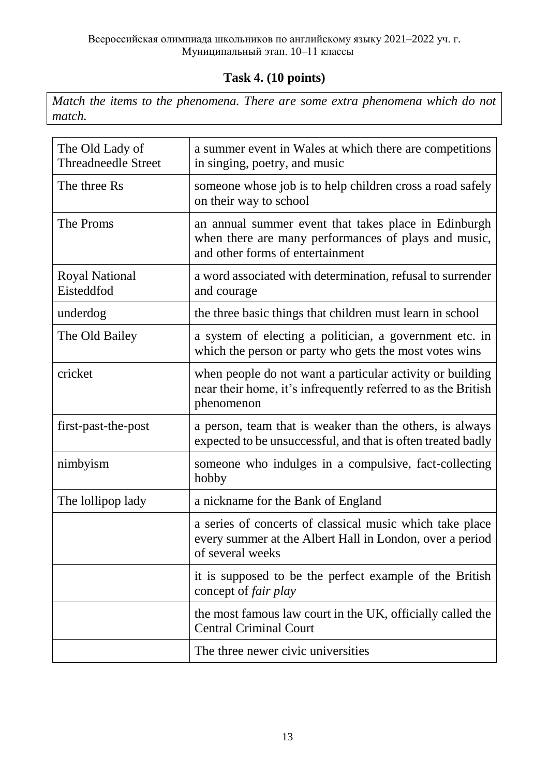# **Task 4. (10 points)**

*Match the items to the phenomena. There are some extra phenomena which do not match.*

| The Old Lady of<br><b>Threadneedle Street</b> | a summer event in Wales at which there are competitions<br>in singing, poetry, and music                                                         |
|-----------------------------------------------|--------------------------------------------------------------------------------------------------------------------------------------------------|
| The three Rs                                  | someone whose job is to help children cross a road safely<br>on their way to school                                                              |
| The Proms                                     | an annual summer event that takes place in Edinburgh<br>when there are many performances of plays and music,<br>and other forms of entertainment |
| <b>Royal National</b><br>Eisteddfod           | a word associated with determination, refusal to surrender<br>and courage                                                                        |
| underdog                                      | the three basic things that children must learn in school                                                                                        |
| The Old Bailey                                | a system of electing a politician, a government etc. in<br>which the person or party who gets the most votes wins                                |
| cricket                                       | when people do not want a particular activity or building<br>near their home, it's infrequently referred to as the British<br>phenomenon         |
| first-past-the-post                           | a person, team that is weaker than the others, is always<br>expected to be unsuccessful, and that is often treated badly                         |
| nimbyism                                      | someone who indulges in a compulsive, fact-collecting<br>hobby                                                                                   |
| The lollipop lady                             | a nickname for the Bank of England                                                                                                               |
|                                               | a series of concerts of classical music which take place<br>every summer at the Albert Hall in London, over a period<br>of several weeks         |
|                                               | it is supposed to be the perfect example of the British<br>concept of fair play                                                                  |
|                                               | the most famous law court in the UK, officially called the<br><b>Central Criminal Court</b>                                                      |
|                                               | The three newer civic universities                                                                                                               |